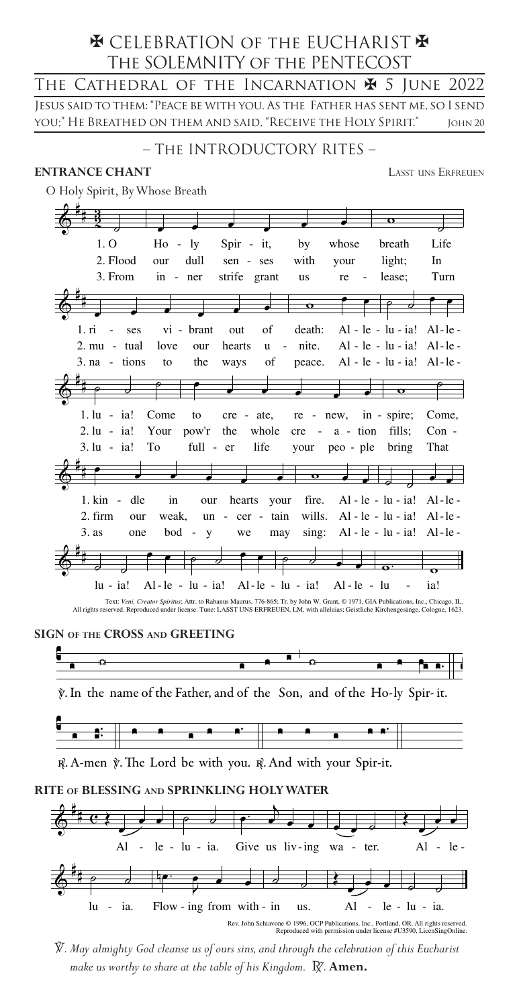# **EX CELEBRATION OF THE EUCHARIST FOR** THE SOLEMNITY OF THE PENTECOST

The Cathedral of the Incarnation  $\maltese$  5 June 2022 JESUS SAID TO THEM: "PEACE BE WITH YOU. AS THE FATHER HAS SENT ME, SO I SEND you;" He Breathed on them and said, "Receive the Holy Spirit." JOHN 20

## - THE INTRODUCTORY RITES -

## **ENTRANCE CHANT**

**LASST UNS ERFREUEN** 

O Holy Spirit, By Whose Breath

|                                   |                                                                                                                                    |                                              |              |                      | o                                |          |
|-----------------------------------|------------------------------------------------------------------------------------------------------------------------------------|----------------------------------------------|--------------|----------------------|----------------------------------|----------|
| 1. O                              | $Ho - ly$                                                                                                                          | $Spir - it$ ,                                | by           | whose                | breath                           | Life     |
| 2. Flood                          | dull<br>our                                                                                                                        | sen - ses                                    | with         | your                 | light;                           | In       |
| 3. From                           | in - ner                                                                                                                           | strife grant                                 | us           | re                   | lease;                           | Turn     |
|                                   |                                                                                                                                    |                                              |              |                      |                                  |          |
|                                   |                                                                                                                                    |                                              | $\mathbf{o}$ |                      |                                  |          |
| 1. ri<br>ses                      | vi - brant                                                                                                                         | of<br>out                                    | death:       |                      | $Al - le - lu - ia! Al - le -$   |          |
| $2. \text{mu}$ - tual             | love<br>our                                                                                                                        | hearts<br>u                                  | - nite.      |                      | $Al - le - lu - ia! Al - le -$   |          |
| $3. na - tions$                   | the<br>to                                                                                                                          | of<br>ways                                   | peace.       |                      | $Al - le - lu - ia!$ $Al - le -$ |          |
|                                   |                                                                                                                                    |                                              |              |                      |                                  |          |
|                                   |                                                                                                                                    |                                              |              |                      | $\mathbf{o}$                     |          |
| $1. \text{lu} - \text{ia}!$       | Come<br>to                                                                                                                         | $cre - ate$ , $re - new$ , $in - spire$ ;    |              |                      |                                  | Come.    |
| $2. \, \text{lu} - \, \text{ial}$ |                                                                                                                                    | Your pow'r the whole                         |              | $cre - a - tion$     | fills;                           | $Con -$  |
| $3. \mathrm{lu}$ - ia!            | To                                                                                                                                 | life<br>full - er                            |              | your peo - ple bring |                                  | That     |
|                                   |                                                                                                                                    |                                              |              |                      |                                  |          |
|                                   |                                                                                                                                    |                                              | $\mathbf o$  |                      |                                  |          |
| $1.$ kin - dle                    | in<br>our                                                                                                                          | hearts your                                  | fire.        |                      | $Al - le - lu - ia!$             | $Al-le-$ |
| 2. firm<br>our                    | weak,                                                                                                                              | $un - cer - tain$                            | wills.       |                      | Al - $le - lu - ia!$             | $Al-le-$ |
| 3. as<br>one                      | $bod - y$                                                                                                                          | may<br>we                                    | sing:        |                      | $Al - le - lu - ia!$             | $Al-le-$ |
|                                   |                                                                                                                                    |                                              |              |                      |                                  |          |
|                                   |                                                                                                                                    | ⇁                                            |              |                      |                                  |          |
| lu - ia!                          |                                                                                                                                    | Al-le - lu - ia! Al-le - lu - ia! Al-le - lu |              |                      |                                  | ia!      |
|                                   | Taxt: Vani, Creator Spiritue: Attr. to Pabanus Maurus, 776,865; Tr. by John W. Crant. @ 1071, CIA Publications, Inc., Chicago, II. |                                              |              |                      |                                  |          |

All rights reserved. Reproduced under license. Tune: LASST UNS ERFREUEN, LM, with alleluias; Geistliche Kirchengesänge, Cologne, 1623.

SIGN OF THE CROSS AND GREETING



y. In the name of the Father, and of the Son, and of the Ho-ly Spir-it.



R. A-men y. The Lord be with you. R. And with your Spir-it.

## RITE OF BLESSING AND SPRINKLING HOLY WATER



Rev. John Schiavone © 1996, OCP Publications, Inc., Portland, OR. All rights reserved.<br>Reproduced with permission under license #U3590, LicenSingOnline.

 $\overline{V}$ . May almighty God cleanse us of ours sins, and through the celebration of this Eucharist make us worthy to share at the table of his Kingdom. R. Amen.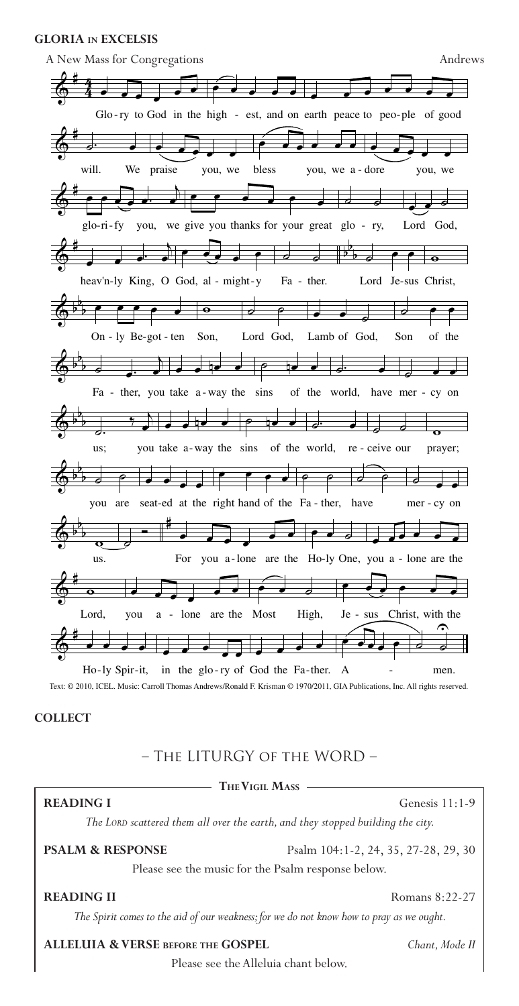### **GLORIA in EXCELSIS**



Text: © 2010, ICEL. Music: Carroll Thomas Andrews/Ronald F. Krisman © 1970/2011, GIA Publications, Inc. All rights reserved.

**COLLECT**

## – The LITURGY of the WORD –

## **The Vigil Mass**

#### **READING I** Genesis 11:1-9

*The Lord scattered them all over the earth, and they stopped building the city.*

**PSALM & RESPONSE** Psalm 104:1-2, 24, 35, 27-28, 29, 30

Please see the music for the Psalm response below.

**READING II** Romans 8:22-27

*The Spirit comes to the aid of our weakness; for we do not know how to pray as we ought.*

**ALLELUIA & VERSE before the GOSPEL** *Chant, Mode II*

2 Please see the Alleluia chant below.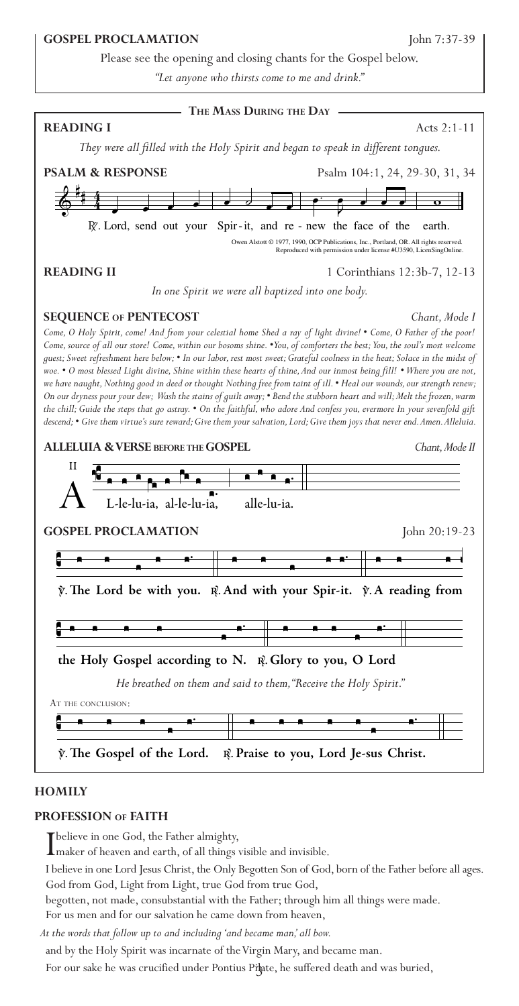## **GOSPEL PROCLAMATION** John 7:37-39

Please see the opening and closing chants for the Gospel below.

*"Let anyone who thirsts come to me and drink."*



### **HOMILY**

## **PROFESSION of FAITH**

I believe in one God, the Father almighty, maker of heaven and earth, of all things visible and invisible.

I believe in one Lord Jesus Christ, the Only Begotten Son of God, born of the Father before all ages. God from God, Light from Light, true God from true God,

begotten, not made, consubstantial with the Father; through him all things were made. For us men and for our salvation he came down from heaven,

*At the words that follow up to and including 'and became man,' all bow.*

and by the Holy Spirit was incarnate of the Virgin Mary, and became man.

For our sake he was crucified under Pontius Pilate, he suffered death and was buried,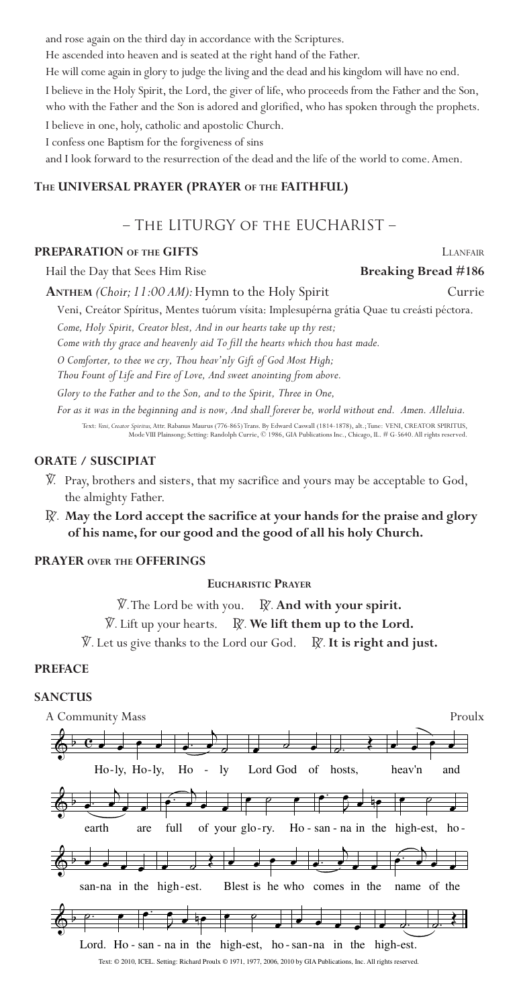and rose again on the third day in accordance with the Scriptures.

He ascended into heaven and is seated at the right hand of the Father.

He will come again in glory to judge the living and the dead and his kingdom will have no end.

I believe in the Holy Spirit, the Lord, the giver of life, who proceeds from the Father and the Son, who with the Father and the Son is adored and glorified, who has spoken through the prophets.

I believe in one, holy, catholic and apostolic Church.

I confess one Baptism for the forgiveness of sins

and I look forward to the resurrection of the dead and the life of the world to come. Amen.

## **The UNIVERSAL PRAYER (PRAYER of the FAITHFUL)**

## – The LITURGY of the EUCHARIST –

## **PREPARATION OF THE GIFTS** LANFAIR **LEADER**

Hail the Day that Sees Him Rise **Breaking Bread #186** 

**ANTHEM** *(Choir; 11:00 AM):* Hymn to the Holy Spirit Currie

Veni, Creátor Spíritus, Mentes tuórum vísita: Implesupérna grátia Quae tu creásti péctora. *Come, Holy Spirit, Creator blest, And in our hearts take up thy rest;*

*Come with thy grace and heavenly aid To fill the hearts which thou hast made.*

*O Comforter, to thee we cry, Thou heav'nly Gift of God Most High; Thou Fount of Life and Fire of Love, And sweet anointing from above.*

*Glory to the Father and to the Son, and to the Spirit, Three in One,*

*For as it was in the beginning and is now, And shall forever be, world without end. Amen. Alleluia.* Text: *Veni, Creator Spiritus,* Attr. Rabanus Maurus (776-865) Trans. By Edward Caswall (1814-1878), alt.; Tune: VENI, CREATOR SPIRITUS, Mode VIII Plainsong; Setting: Randolph Currie, © 1986, GIA Publications Inc., Chicago, IL. # G-5640. All rights reserved.

## **ORATE / SUSCIPIAT**

- V. Pray, brothers and sisters, that my sacrifice and yours may be acceptable to God, the almighty Father.
- R. **May the Lord accept the sacrifice at your hands for the praise and glory of his name, for our good and the good of all his holy Church.**

## **PRAYER over the OFFERINGS**

### **Eucharistic Prayer**

V.The Lord be with you. R. **And with your spirit.**

 $\widetilde{V}$ . Lift up your hearts. R. We lift them up to the Lord.

 $\widetilde{V}$ . Let us give thanks to the Lord our God.  $\widetilde{R}$ . It is right and just.

## **PREFACE**

### **SANCTUS**

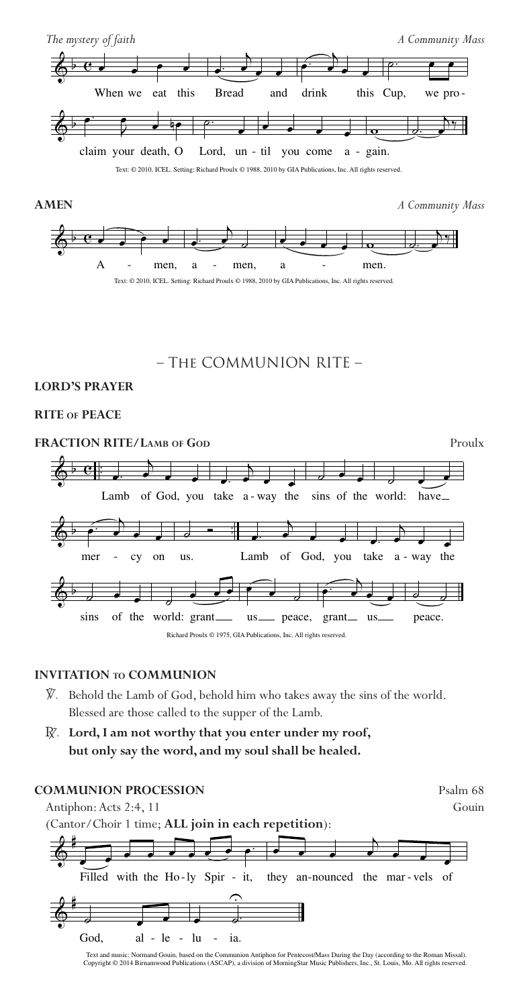

- V. Behold the Lamb of God, behold him who takes away the sins of the world. Blessed are those called to the supper of the Lamb.
- R. **Lord, I am not worthy that you enter under my roof, but only say the word, and my soul shall be healed.**



Text and music: Normand Gouin, based on the Communion Antiphon for Pentecost/Mass During the Day (according to the Roman Missal).<br>Copyright © 2014 Birnamwood Publications (ASCAP), a division of MorningStar Music Publishers